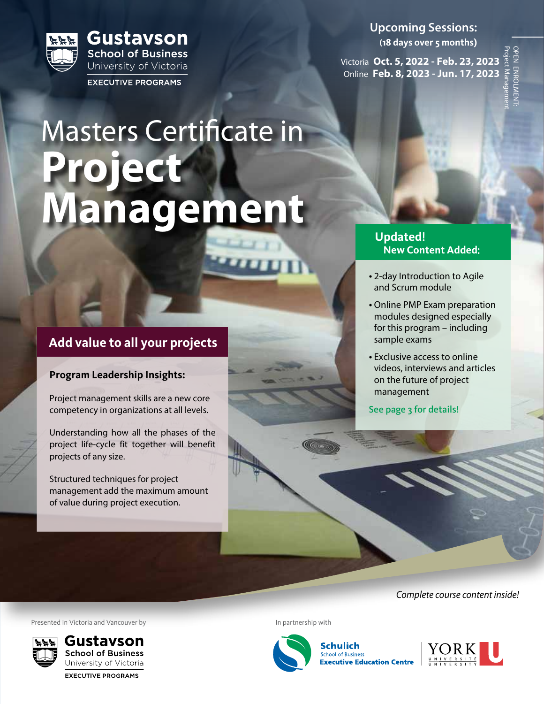

Masters Certificate in **Project Management**

# **Add value to all your projects**

### **Program Leadership Insights:**

Project management skills are a new core competency in organizations at all levels.

Understanding how all the phases of the project life-cycle fit together will benefit projects of any size.

Structured techniques for project management add the maximum amount of value during project execution.

**Upcoming Sessions: (18 days over 5 months)**

Victoria **Oct. 5, 2022 - Feb. 23, 2023** Online **Feb. 8, 2023 - Jun. 17, 2023**

Project Management OPEN ENROLMENT: **DPEN ENROLMEN** 

## **Updated**! **New Content Added**:

- 2-day Introduction to Agile and Scrum module
- Online PMP Exam preparation modules designed especially for this program – including sample exams
- Exclusive access to online videos, interviews and articles on the future of project management
- See page 3 for details!

*Complete course content inside!*

Presented in Victoria and Vancouver by Internal Communication of the Internal Communication of the Internal Communication of the Internal Communication of the Internal Communication of the Internal Communication of the Int



**EXECUTIVE PROGRAMS** 

 $(\mathbb{C}^{(n)})$ 



**Schulich School of Business Executive Education Centre** 

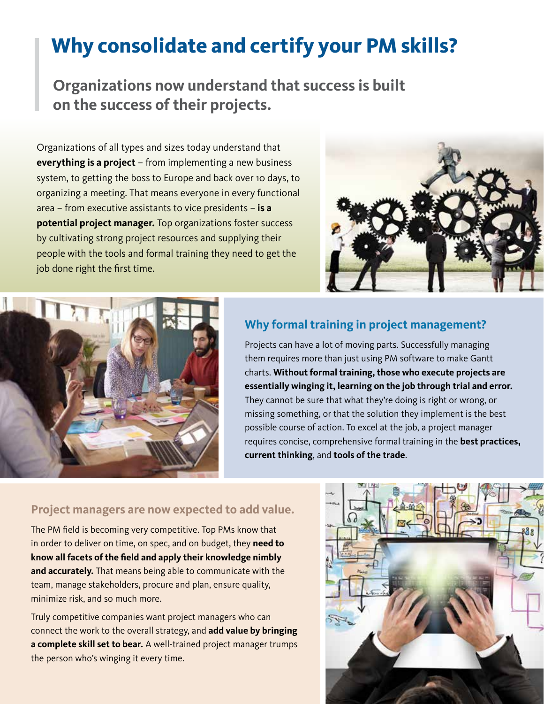# **Why consolidate and certify your PM skills?**

**Organizations now understand that success is built on the success of their projects.**

Organizations of all types and sizes today understand that **everything is a project** – from implementing a new business system, to getting the boss to Europe and back over 10 days, to organizing a meeting. That means everyone in every functional area – from executive assistants to vice presidents – **is a potential project manager.** Top organizations foster success by cultivating strong project resources and supplying their people with the tools and formal training they need to get the job done right the first time.





# **Why formal training in project management?**

Projects can have a lot of moving parts. Successfully managing them requires more than just using PM software to make Gantt charts. **Without formal training, those who execute projects are essentially winging it, learning on the job through trial and error.** They cannot be sure that what they're doing is right or wrong, or missing something, or that the solution they implement is the best possible course of action. To excel at the job, a project manager requires concise, comprehensive formal training in the **best practices, current thinking**, and **tools of the trade**.

# **Project managers are now expected to add value.**

The PM field is becoming very competitive. Top PMs know that in order to deliver on time, on spec, and on budget, they **need to know all facets of the field and apply their knowledge nimbly and accurately.** That means being able to communicate with the team, manage stakeholders, procure and plan, ensure quality, minimize risk, and so much more.

Truly competitive companies want project managers who can connect the work to the overall strategy, and **add value by bringing a complete skill set to bear.** A well-trained project manager trumps the person who's winging it every time.

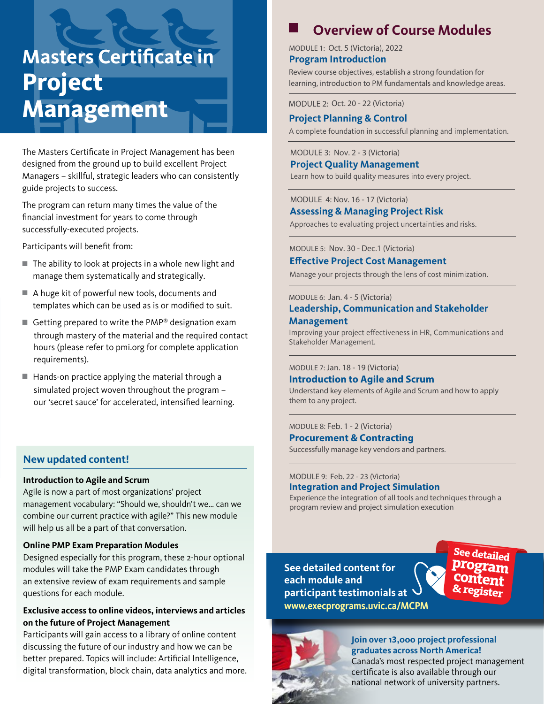# **Masters Certificate in Project Management**

The Masters Certificate in Project Management has been designed from the ground up to build excellent Project Managers – skillful, strategic leaders who can consistently guide projects to success.

The program can return many times the value of the financial investment for years to come through successfully-executed projects.

Participants will benefit from:

- $\blacksquare$  The ability to look at projects in a whole new light and manage them systematically and strategically.
- $\blacksquare$  A huge kit of powerful new tools, documents and templates which can be used as is or modified to suit.
- Getting prepared to write the PMP® designation exam through mastery of the material and the required contact hours (please refer to pmi.org for complete application requirements).
- $\blacksquare$  Hands-on practice applying the material through a simulated project woven throughout the program – our 'secret sauce' for accelerated, intensified learning.

#### **New updated content!**

#### **Introduction to Agile and Scrum**

Agile is now a part of most organizations' project management vocabulary: "Should we, shouldn't we… can we combine our current practice with agile?" This new module will help us all be a part of that conversation.

#### **Online PMP Exam Preparation Modules**

Designed especially for this program, these 2-hour optional modules will take the PMP Exam candidates through an extensive review of exam requirements and sample questions for each module.

#### **Exclusive access to online videos, interviews and articles on the future of Project Management**

Participants will gain access to a library of online content discussing the future of our industry and how we can be better prepared. Topics will include: Artificial Intelligence, digital transformation, block chain, data analytics and more.

# **Overview of Course Modules**

MODULE 1: Oct. 5 (Victoria), 2022 **Program Introduction**

Review course objectives, establish a strong foundation for learning, introduction to PM fundamentals and knowledge areas.

MODULE 2: Oct. 20 - 22 (Victoria)

#### **Project Planning & Control**

A complete foundation in successful planning and implementation.

#### MODULE 3: Nov. 2 - 3 (Victoria)

**Project Quality Management**

Learn how to build quality measures into every project.

#### MODULE 4: Nov. 16 - 17 (Victoria) **Assessing & Managing Project Risk**

Approaches to evaluating project uncertainties and risks.

MODULE 5: Nov. 30 - Dec.1 (Victoria)

#### **Effective Project Cost Management**

Manage your projects through the lens of cost minimization.

#### MODULE 6: Jan. 4 - 5 (Victoria)

#### **Leadership, Communication and Stakeholder Management**

Improving your project effectiveness in HR, Communications and Stakeholder Management.

#### MODULE 7: Jan. 18 - 19 (Victoria)

#### **Introduction to Agile and Scrum**

Understand key elements of Agile and Scrum and how to apply them to any project.

#### MODULE 8: Feb. 1 - 2 (Victoria)

#### **Procurement & Contracting**

Successfully manage key vendors and partners.

#### MODULE 9: Feb. 22 - 23 (Victoria) **Integration and Project Simulation**

Experience the integration of all tools and techniques through a program review and project simulation execution

**See detailed content for each module and participant testimonials at www.execprograms.uvic.ca/MCPM**





### **Join over 13,000 project professional graduates across North America!**

Canada's most respected project management certificate is also available through our national network of university partners.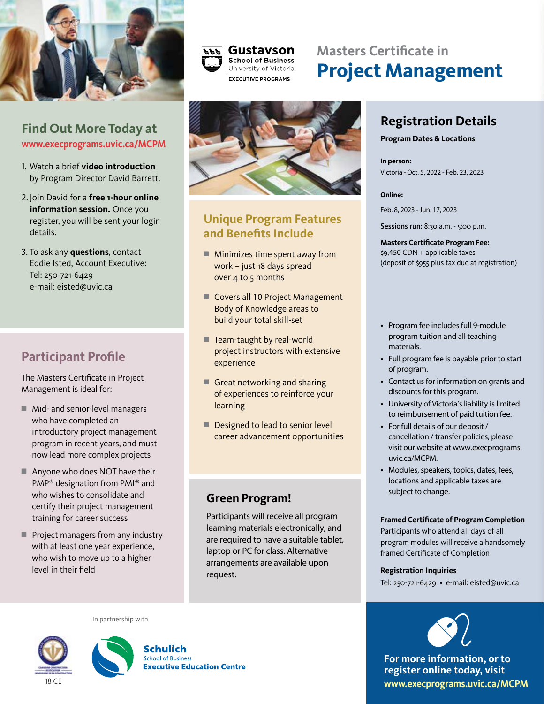



# **Masters Certificate in Project Management**

# **Find Out More Today at www.execprograms.uvic.ca/MCPM**

- 1. Watch a brief **video introduction** by Program Director David Barrett.
- 2. Join David for a **free 1-hour online information session.** Once you register, you will be sent your login details.
- 3. To ask any **questions**, contact Eddie Isted, Account Executive: Tel: 250-721-6429 e-mail: eisted@uvic.ca

# **Participant Profile**

The Masters Certificate in Project Management is ideal for:

- Mid- and senior-level managers who have completed an introductory project management program in recent years, and must now lead more complex projects
- $\blacksquare$  Anyone who does NOT have their PMP® designation from PMI® and who wishes to consolidate and certify their project management training for career success
- $\blacksquare$  Project managers from any industry with at least one year experience, who wish to move up to a higher level in their field



# **Unique Program Features and Benefits Include**

- $\blacksquare$  Minimizes time spent away from work – just 18 days spread over 4 to 5 months
- Covers all 10 Project Management Body of Knowledge areas to build your total skill-set
- $\blacksquare$  Team-taught by real-world project instructors with extensive experience
- Great networking and sharing of experiences to reinforce your learning
- $\blacksquare$  Designed to lead to senior level career advancement opportunities

# **Green Program!**

Participants will receive all program learning materials electronically, and are required to have a suitable tablet, laptop or PC for class. Alternative arrangements are available upon request.

# **Registration Details**

#### **Program Dates & Locations**

**In person:**  Victoria - Oct. 5, 2022 - Feb. 23, 2023

#### **Online:**

Feb. 8, 2023 - Jun. 17, 2023

Sessions run: 8:30 a.m. - 5:00 p.m.

**Masters Certificate Program Fee:**  \$9,450 CDN + applicable taxes (deposit of \$955 plus tax due at registration)

- Program fee includes full 9-module program tuition and all teaching materials.
- Full program fee is payable prior to start of program.
- Contact us for information on grants and discounts for this program.
- University of Victoria's liability is limited to reimbursement of paid tuition fee.
- For full details of our deposit / cancellation / transfer policies, please visit our website at www.execprograms. uvic.ca/MCPM.
- Modules, speakers, topics, dates, fees, locations and applicable taxes are subject to change.

#### **Framed Certificate of Program Completion**

Participants who attend all days of all program modules will receive a handsomely framed Certificate of Completion

#### **Registration Inquiries**

Tel: 250-721-6429 • e-mail: eisted@uvic.ca



**For more information, or to register online today, visit www.execprograms.uvic.ca/MCPM**







Schulich **School of Business Executive Education Centre**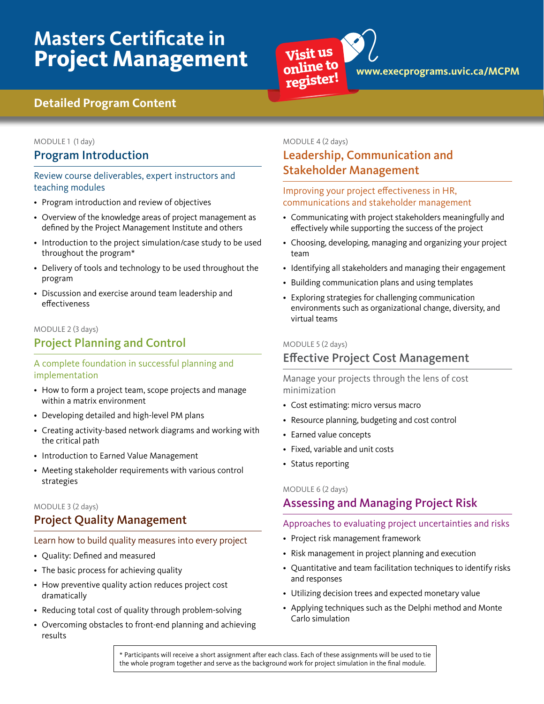# **Masters Certificate in Project Management**



# **Detailed Program Content**

### MODULE 1 (1 day)

### Program Introduction

#### Review course deliverables, expert instructors and teaching modules

- Program introduction and review of objectives
- Overview of the knowledge areas of project management as defined by the Project Management Institute and others
- Introduction to the project simulation/case study to be used throughout the program\*
- Delivery of tools and technology to be used throughout the program
- Discussion and exercise around team leadership and effectiveness

#### MODULE 2 (3 days)

# Project Planning and Control

#### A complete foundation in successful planning and implementation

- How to form a project team, scope projects and manage within a matrix environment
- Developing detailed and high-level PM plans
- Creating activity-based network diagrams and working with the critical path
- Introduction to Earned Value Management
- Meeting stakeholder requirements with various control strategies

#### MODULE 3 (2 days)

# Project Quality Management

#### Learn how to build quality measures into every project

- Quality: Defined and measured
- The basic process for achieving quality
- How preventive quality action reduces project cost dramatically
- Reducing total cost of quality through problem-solving
- Overcoming obstacles to front-end planning and achieving results

#### MODULE 4 (2 days)

# Leadership, Communication and Stakeholder Management

#### Improving your project effectiveness in HR, communications and stakeholder management

- Communicating with project stakeholders meaningfully and effectively while supporting the success of the project
- Choosing, developing, managing and organizing your project team
- Identifying all stakeholders and managing their engagement
- Building communication plans and using templates
- Exploring strategies for challenging communication environments such as organizational change, diversity, and virtual teams

#### MODULE 5 (2 days)

# Effective Project Cost Management

Manage your projects through the lens of cost minimization

- Cost estimating: micro versus macro
- Resource planning, budgeting and cost control
- Earned value concepts
- Fixed, variable and unit costs
- Status reporting

#### MODULE 6 (2 days)

# Assessing and Managing Project Risk

#### Approaches to evaluating project uncertainties and risks

- Project risk management framework
- Risk management in project planning and execution
- Quantitative and team facilitation techniques to identify risks and responses
- Utilizing decision trees and expected monetary value
- Applying techniques such as the Delphi method and Monte Carlo simulation

\* Participants will receive a short assignment after each class. Each of these assignments will be used to tie the whole program together and serve as the background work for project simulation in the final module.